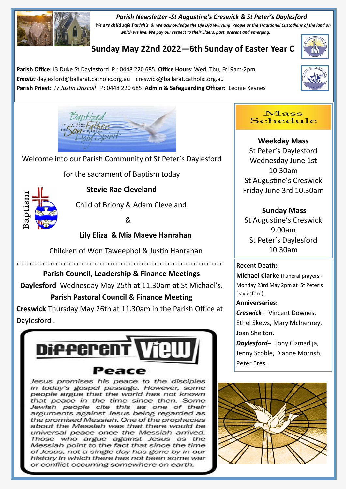#### *Parish Newsletter -St Augustine's Creswick & St Peter's Daylesford*



*We are child safe Parish's & We acknowledge the Dja Dja Wurrung People as the Traditional Custodians of the land on which we live. We pay our respect to their Elders, past, present and emerging.* 

# **Sunday May 22nd 2022—6th Sunday of Easter Year C**

**Parish Office:**13 Duke St Daylesford P : 0448 220 685 **Office Hours**: Wed, Thu, Fri 9am-2pm *Emails:* daylesford@ballarat.catholic.org.au creswick@ballarat.catholic.org.au **Parish Priest:** *Fr Justin Driscoll* P: 0448 220 685 **Admin & Safeguarding Officer:** Leonie Keynes







Welcome into our Parish Community of St Peter's Daylesford

for the sacrament of Baptism today



 **Stevie Rae Cleveland**

Child of Briony & Adam Cleveland

&

## **Lily Eliza & Mia Maeve Hanrahan**

Children of Won Taweephol & Justin Hanrahan

++++++++++++++++++++++++++++++++++++++++++++++++++++++++++++++++++++++++++++++++

## **Parish Council, Leadership & Finance Meetings**

**Daylesford** Wednesday May 25th at 11.30am at St Michael's.

## **Parish Pastoral Council & Finance Meeting**

**Creswick** Thursday May 26th at 11.30am in the Parish Office at Daylesford .



Jesus promises his peace to the disciples in today's gospel passage. However, some people argue that the world has not known that peace in the time since then. Some Jewish people cite this as one of their arguments against Jesus being regarded as the promised Messiah. One of the prophecies about the Messiah was that there would be universal peace once the Messiah arrived. Those who argue against Jesus as the Messiah point to the fact that since the time of Jesus, not a single day has gone by in our history in which there has not been some war or conflict occurring somewhere on earth.

#### $\bf Mass$ Schedule

**Weekday Mass** St Peter's Daylesford Wednesday June 1st 10.30am St Augustine's Creswick Friday June 3rd 10.30am

# **Sunday Mass**

St Augustine's Creswick 9.00am St Peter's Daylesford 10.30am

### **Recent Death:**

**Michael Clarke** (Funeral prayers - Monday 23rd May 2pm at St Peter's Daylesford).

### **Anniversaries:**

*Creswick–* Vincent Downes, Ethel Skews, Mary McInerney, Joan Shelton.

*Daylesford–* Tony Cizmadija, Jenny Scoble, Dianne Morrish, Peter Eres.